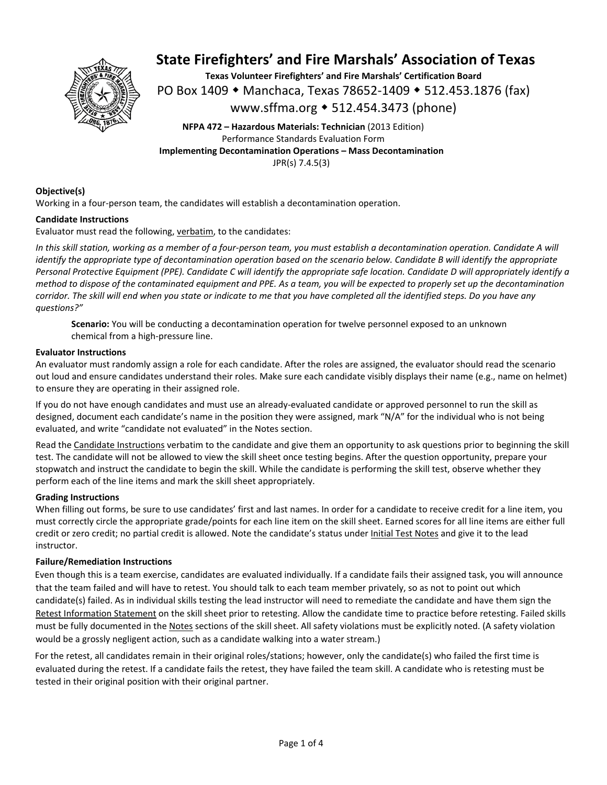

**Texas Volunteer Firefighters' and Fire Marshals' Certification Board**  PO Box 1409 ◆ Manchaca, Texas 78652-1409 ◆ 512.453.1876 (fax) www.sffma.org 512.454.3473 (phone)

**NFPA 472 – Hazardous Materials: Technician** (2013 Edition) Performance Standards Evaluation Form **Implementing Decontamination Operations – Mass Decontamination**  JPR(s) 7.4.5(3)

### **Objective(s)**

Working in a four-person team, the candidates will establish a decontamination operation.

### **Candidate Instructions**

Evaluator must read the following, verbatim, to the candidates:

*In this skill station, working as a member of a four‐person team, you must establish a decontamination operation. Candidate A will identify the appropriate type of decontamination operation based on the scenario below. Candidate B will identify the appropriate Personal Protective Equipment (PPE). Candidate C will identify the appropriate safe location. Candidate D will appropriately identify a method to dispose of the contaminated equipment and PPE. As a team, you will be expected to properly set up the decontamination corridor. The skill will end when you state or indicate to me that you have completed all the identified steps. Do you have any questions?"* 

**Scenario:** You will be conducting a decontamination operation for twelve personnel exposed to an unknown chemical from a high‐pressure line.

### **Evaluator Instructions**

An evaluator must randomly assign a role for each candidate. After the roles are assigned, the evaluator should read the scenario out loud and ensure candidates understand their roles. Make sure each candidate visibly displays their name (e.g., name on helmet) to ensure they are operating in their assigned role.

If you do not have enough candidates and must use an already‐evaluated candidate or approved personnel to run the skill as designed, document each candidate's name in the position they were assigned, mark "N/A" for the individual who is not being evaluated, and write "candidate not evaluated" in the Notes section.

Read the Candidate Instructions verbatim to the candidate and give them an opportunity to ask questions prior to beginning the skill test. The candidate will not be allowed to view the skill sheet once testing begins. After the question opportunity, prepare your stopwatch and instruct the candidate to begin the skill. While the candidate is performing the skill test, observe whether they perform each of the line items and mark the skill sheet appropriately.

### **Grading Instructions**

When filling out forms, be sure to use candidates' first and last names. In order for a candidate to receive credit for a line item, you must correctly circle the appropriate grade/points for each line item on the skill sheet. Earned scores for all line items are either full credit or zero credit; no partial credit is allowed. Note the candidate's status under Initial Test Notes and give it to the lead instructor.

### **Failure/Remediation Instructions**

Even though this is a team exercise, candidates are evaluated individually. If a candidate fails their assigned task, you will announce that the team failed and will have to retest. You should talk to each team member privately, so as not to point out which candidate(s) failed. As in individual skills testing the lead instructor will need to remediate the candidate and have them sign the Retest Information Statement on the skill sheet prior to retesting. Allow the candidate time to practice before retesting. Failed skills must be fully documented in the Notes sections of the skill sheet. All safety violations must be explicitly noted. (A safety violation would be a grossly negligent action, such as a candidate walking into a water stream.)

For the retest, all candidates remain in their original roles/stations; however, only the candidate(s) who failed the first time is evaluated during the retest. If a candidate fails the retest, they have failed the team skill. A candidate who is retesting must be tested in their original position with their original partner.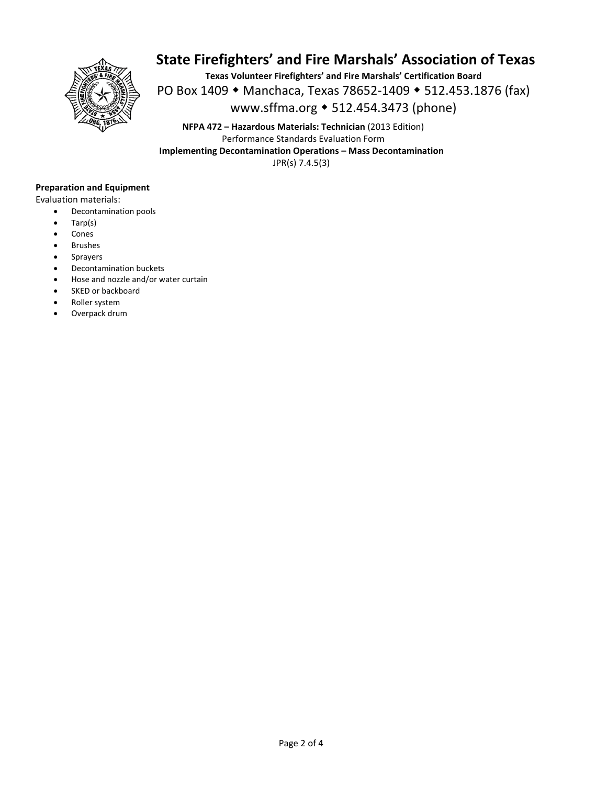

**Texas Volunteer Firefighters' and Fire Marshals' Certification Board**  PO Box 1409 • Manchaca, Texas 78652-1409 • 512.453.1876 (fax) www.sffma.org 512.454.3473 (phone)

**NFPA 472 – Hazardous Materials: Technician** (2013 Edition) Performance Standards Evaluation Form **Implementing Decontamination Operations – Mass Decontamination**  JPR(s) 7.4.5(3)

### **Preparation and Equipment**

Evaluation materials:

- Decontamination pools
- Tarp(s)
- Cones
- Brushes
- Sprayers
- Decontamination buckets
- Hose and nozzle and/or water curtain
- SKED or backboard
- Roller system
- Overpack drum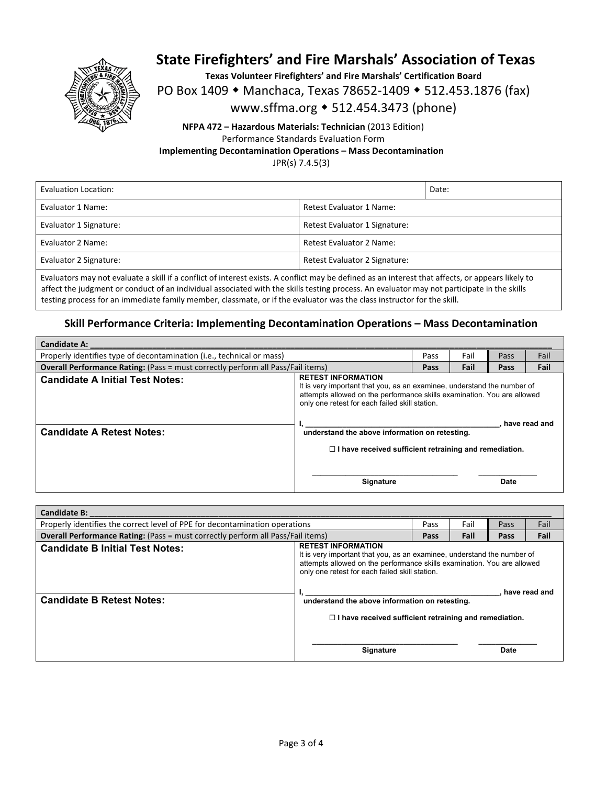

**Texas Volunteer Firefighters' and Fire Marshals' Certification Board** 

PO Box 1409 • Manchaca, Texas 78652-1409 • 512.453.1876 (fax)

### www.sffma.org 512.454.3473 (phone)

**NFPA 472 – Hazardous Materials: Technician** (2013 Edition) Performance Standards Evaluation Form **Implementing Decontamination Operations – Mass Decontamination**  JPR(s) 7.4.5(3)

Evaluation Location: **Date:** Date: **Date:** Date: **Date:** Date: **Date:** Date: **Date:** Date: **Date: Date: Date: Date: Date: Date: Date: Date: Date: Date: Date: Date: Date: Date: Date: Date: Da** Evaluator 1 Name: **Example 2 Access 2 Access 2 Access 2 Access 2 Access 2 Access 2 Access 2 Access 2 Access 2 Access 2 Access 2 Access 2 Access 2 Access 2 Access 2 Access 2 Access 2 Access 2 Access 2 Access 2 Access 2 Acce** Evaluator 1 Signature:  $\begin{array}{c} \text{F}} \\ \text{R} \\ \text{R}} \end{array}$  Retest Evaluator 1 Signature: Evaluator 2 Name:  $\vert$  Retest Evaluator 2 Name: Evaluator 2 Signature:  $\begin{array}{c} \text{Fvelet } R \text{ (left) } R \text{ (left) } R \text{ (left) } R \text{ (left) } R \text{ (left) } R \text{ (left) } R \text{ (left) } R \text{ (left) } R \text{ (right) } R \text{ (right) } R \text{ (right) } R \text{ (right) } R \text{ (right) } R \text{ (right) } R \text{ (right) } R \text{ (right) } R \text{ (right) } R \text{ (right) } R \text{ (right) } R \text{ (right) } R \text{ (right) } R \text{ (right) } R \text{ (right) }$ 

Evaluators may not evaluate a skill if a conflict of interest exists. A conflict may be defined as an interest that affects, or appears likely to affect the judgment or conduct of an individual associated with the skills testing process. An evaluator may not participate in the skills testing process for an immediate family member, classmate, or if the evaluator was the class instructor for the skill.

### **Skill Performance Criteria: Implementing Decontamination Operations – Mass Decontamination**

| <b>Candidate A:</b>                                                                    |                                                                                                                                                                                                                                                                                                      |      |      |      |      |
|----------------------------------------------------------------------------------------|------------------------------------------------------------------------------------------------------------------------------------------------------------------------------------------------------------------------------------------------------------------------------------------------------|------|------|------|------|
| Properly identifies type of decontamination (i.e., technical or mass)                  |                                                                                                                                                                                                                                                                                                      | Pass | Fail | Pass | Fail |
| <b>Overall Performance Rating:</b> (Pass = must correctly perform all Pass/Fail items) |                                                                                                                                                                                                                                                                                                      | Pass | Fail | Pass | Fail |
| <b>Candidate A Initial Test Notes:</b>                                                 | <b>RETEST INFORMATION</b><br>It is very important that you, as an examinee, understand the number of<br>attempts allowed on the performance skills examination. You are allowed<br>only one retest for each failed skill station.<br>have read and<br>understand the above information on retesting. |      |      |      |      |
| <b>Candidate A Retest Notes:</b>                                                       |                                                                                                                                                                                                                                                                                                      |      |      |      |      |
|                                                                                        | $\Box$ I have received sufficient retraining and remediation.                                                                                                                                                                                                                                        |      |      |      |      |
|                                                                                        | <b>Signature</b>                                                                                                                                                                                                                                                                                     |      |      | Date |      |

| <b>Candidate B:</b>                                                                    |                                                                                                                                                                                                                                   |      |      |      |      |  |
|----------------------------------------------------------------------------------------|-----------------------------------------------------------------------------------------------------------------------------------------------------------------------------------------------------------------------------------|------|------|------|------|--|
| Properly identifies the correct level of PPE for decontamination operations            |                                                                                                                                                                                                                                   | Pass | Fail | Pass | Fail |  |
| <b>Overall Performance Rating:</b> (Pass = must correctly perform all Pass/Fail items) |                                                                                                                                                                                                                                   | Pass | Fail | Pass | Fail |  |
| <b>Candidate B Initial Test Notes:</b>                                                 | <b>RETEST INFORMATION</b><br>It is very important that you, as an examinee, understand the number of<br>attempts allowed on the performance skills examination. You are allowed<br>only one retest for each failed skill station. |      |      |      |      |  |
| <b>Candidate B Retest Notes:</b>                                                       | have read and<br>understand the above information on retesting.                                                                                                                                                                   |      |      |      |      |  |
|                                                                                        | $\Box$ I have received sufficient retraining and remediation.                                                                                                                                                                     |      |      |      |      |  |
|                                                                                        | <b>Signature</b>                                                                                                                                                                                                                  |      |      | Date |      |  |